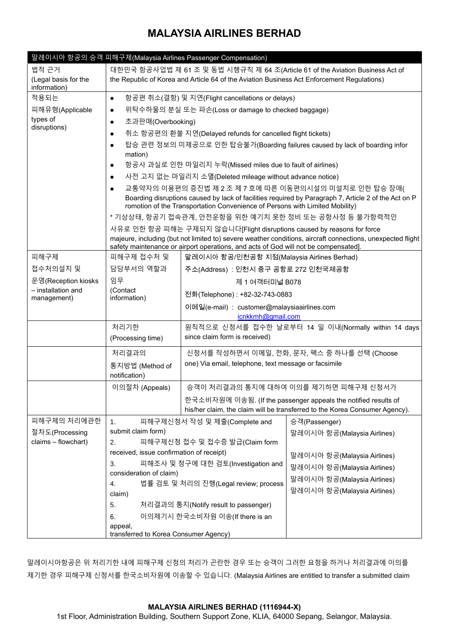|                                           |                                                                                                                                                                            | 말레이시아 항공의 승객 피해구제(Malaysia Airlines Passenger Compensation)                         |                                                                             |  |  |  |  |  |
|-------------------------------------------|----------------------------------------------------------------------------------------------------------------------------------------------------------------------------|-------------------------------------------------------------------------------------|-----------------------------------------------------------------------------|--|--|--|--|--|
| 법적 근거                                     | 대한민국 항공사업법 제 61 조 및 동법 시행규칙 제 64 조(Article 61 of the Aviation Business Act of                                                                                              |                                                                                     |                                                                             |  |  |  |  |  |
| (Legal basis for the<br>information)      | the Republic of Korea and Article 64 of the Aviation Business Act Enforcement Regulations)                                                                                 |                                                                                     |                                                                             |  |  |  |  |  |
| 적용되는                                      | 항공편 취소(결항) 및 지연(Flight cancellations or delays)<br>$\bullet$                                                                                                               |                                                                                     |                                                                             |  |  |  |  |  |
| 피해유형(Applicable                           | 위탁수하물의 분실 또는 파손(Loss or damage to checked baggage)<br>$\bullet$                                                                                                            |                                                                                     |                                                                             |  |  |  |  |  |
| types of<br>disruptions)                  | 초과판매(Overbooking)<br>$\bullet$                                                                                                                                             |                                                                                     |                                                                             |  |  |  |  |  |
|                                           | 취소 항공편의 환불 지연(Delayed refunds for cancelled flight tickets)<br>$\bullet$                                                                                                   |                                                                                     |                                                                             |  |  |  |  |  |
|                                           | 탑승 관련 정보의 미제공으로 인한 탑승불가(Boarding failures caused by lack of boarding infor<br>$\bullet$                                                                                    |                                                                                     |                                                                             |  |  |  |  |  |
|                                           | mation)                                                                                                                                                                    |                                                                                     |                                                                             |  |  |  |  |  |
|                                           | 항공사 과실로 인한 마일리지 누락(Missed miles due to fault of airlines)<br>$\bullet$                                                                                                     |                                                                                     |                                                                             |  |  |  |  |  |
|                                           | 사전 고지 없는 마일리지 소멸(Deleted mileage without advance notice)<br>$\bullet$                                                                                                      |                                                                                     |                                                                             |  |  |  |  |  |
|                                           | 교통약자의 이용편의 증진법 제 2 조 제 7 호에 따른 이동편의시설의 미설치로 인한 탑승 장애(<br>$\bullet$<br>Boarding disruptions caused by lack of facilities required by Paragraph 7, Article 2 of the Act on P |                                                                                     |                                                                             |  |  |  |  |  |
|                                           | romotion of the Transportation Convenience of Persons with Limited Mobility)<br>* 기상상태, 항공기 접속관계, 안전운항을 위한 예기치 못한 정비 또는 공항사정 등 불가항력적인                                      |                                                                                     |                                                                             |  |  |  |  |  |
|                                           | 사유로 인한 항공 피해는 구제되지 않습니다[Flight disruptions caused by reasons for force                                                                                                     |                                                                                     |                                                                             |  |  |  |  |  |
|                                           | majeure, including (but not limited to) severe weather conditions, aircraft connections, unexpected flight                                                                 |                                                                                     |                                                                             |  |  |  |  |  |
|                                           |                                                                                                                                                                            | safety maintenance or airport operations, and acts of God will not be compensated]. |                                                                             |  |  |  |  |  |
| 피해구제                                      |                                                                                                                                                                            | 피해구제 접수처 및<br>말레이시아 항공/인천공항 지점(Malaysia Airlines Berhad)                            |                                                                             |  |  |  |  |  |
| 접수처의설치 및                                  | 담당부서의 역할과                                                                                                                                                                  | 주소(Address) : 인천시 중구 공항로 272 인천국제공항                                                 |                                                                             |  |  |  |  |  |
| 운영(Reception kiosks<br>- installation and | 임무<br>(Contact                                                                                                                                                             | 제 1 여객터미널 B078                                                                      |                                                                             |  |  |  |  |  |
| management)                               | information)                                                                                                                                                               | 전화(Telephone) : +82-32-743-0883                                                     |                                                                             |  |  |  |  |  |
|                                           |                                                                                                                                                                            | 이메일(e-mail) : customer@malaysiaairlines.com<br>icnkkmh@gmail.com                    |                                                                             |  |  |  |  |  |
|                                           | 처리기한                                                                                                                                                                       | 원칙적으로 신청서를 접수한 날로부터 14 일 이내(Normally within 14 days                                 |                                                                             |  |  |  |  |  |
|                                           | (Processing time)                                                                                                                                                          | since claim form is received)                                                       |                                                                             |  |  |  |  |  |
|                                           | 처리결과의                                                                                                                                                                      | 신청서를 작성하면서 이메일, 전화, 문자, 팩스 중 하나를 선택 (Choose                                         |                                                                             |  |  |  |  |  |
|                                           | 통지방법 (Method of<br>notification)                                                                                                                                           | one) Via email, telephone, text message or facsimile                                |                                                                             |  |  |  |  |  |
|                                           | 이의절차 (Appeals)                                                                                                                                                             |                                                                                     | 승객이 처리결과의 통지에 대하여 이의를 제기하면 피해구제 신청서가                                        |  |  |  |  |  |
|                                           |                                                                                                                                                                            |                                                                                     | 한국소비자원에 이송됨. (If the passenger appeals the notified results of              |  |  |  |  |  |
|                                           |                                                                                                                                                                            |                                                                                     | his/her claim, the claim will be transferred to the Korea Consumer Agency). |  |  |  |  |  |
| 피해구제의 처리에관한                               | 1 <sub>1</sub>                                                                                                                                                             | 피해구제신청서 작성 및 제출(Complete and                                                        | 승객(Passenger)                                                               |  |  |  |  |  |
| 절차도(Processing                            | submit claim form)                                                                                                                                                         |                                                                                     | 말레이시아 항공(Malaysia Airlines)                                                 |  |  |  |  |  |
| claims - flowchart)                       | 2.                                                                                                                                                                         | 피해구제신청 접수 및 접수증 발급(Claim form                                                       |                                                                             |  |  |  |  |  |
|                                           | received, issue confirmation of receipt)                                                                                                                                   |                                                                                     | 말레이시아 항공(Malaysia Airlines)                                                 |  |  |  |  |  |
|                                           |                                                                                                                                                                            |                                                                                     | 말레이시아 항공(Malaysia Airlines)                                                 |  |  |  |  |  |
|                                           |                                                                                                                                                                            |                                                                                     | 말레이시아 항공(Malaysia Airlines)                                                 |  |  |  |  |  |
|                                           | claim)                                                                                                                                                                     |                                                                                     | 말레이시아 항공(Malaysia Airlines)                                                 |  |  |  |  |  |
|                                           | 5.                                                                                                                                                                         | 처리결과의 통지(Notify result to passenger)                                                |                                                                             |  |  |  |  |  |
|                                           | 6.                                                                                                                                                                         | 이의제기시 한국소비자원 이송(If there is an                                                      |                                                                             |  |  |  |  |  |
|                                           | appeal,                                                                                                                                                                    |                                                                                     |                                                                             |  |  |  |  |  |
|                                           | 3.<br>consideration of claim)<br>4.                                                                                                                                        | 피해조사 및 청구에 대한 검토(Investigation and<br>법률 검토 및 처리의 진행(Legal review; process          |                                                                             |  |  |  |  |  |

말레이시아항공은 위 처리기한 내에 피해구제 신청의 처리가 곤란한 경우 또는 승객이 그러한 요청을 하거나 처리결과에 이의를 제기한 경우 피해구제 신청서를 한국소비자원에 이송할 수 있습니다. (Malaysia Airlines are entitled to transfer a submitted claim

### **MALAYSIA AIRLINES BERHAD (1116944-X)**

1st Floor, Administration Building, Southern Support Zone, KLIA, 64000 Sepang, Selangor, Malaysia.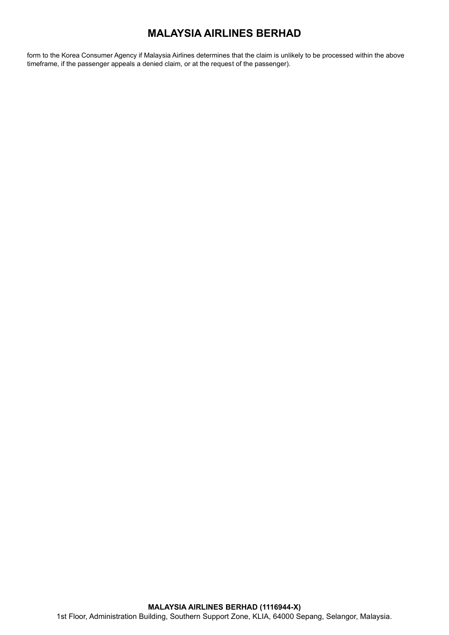form to the Korea Consumer Agency if Malaysia Airlines determines that the claim is unlikely to be processed within the above timeframe, if the passenger appeals a denied claim, or at the request of the passenger).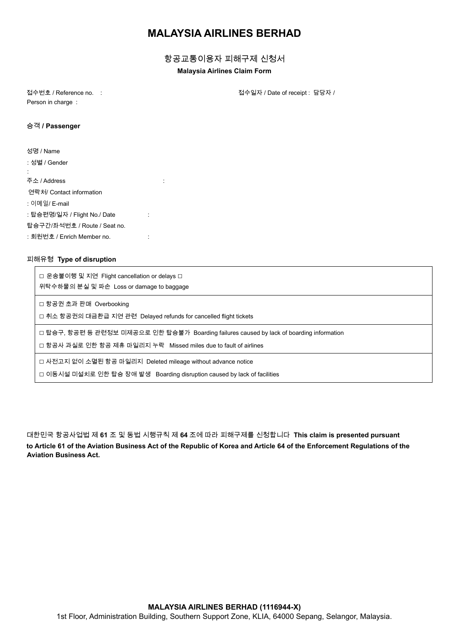항공교통이용자 피해구제 신청서

#### **Malaysia Airlines Claim Form**

Person in charge :

접수번호 / Reference no. : 접수일자 / Date of receipt : 담당자 /

#### 승객 **/ Passenger**

| 성명 / Name                    |  |
|------------------------------|--|
| : 성별 / Gender                |  |
|                              |  |
| 주소 / Address                 |  |
| 연락처/ Contact information     |  |
| : 이메일/ E-mail                |  |
| : 탑승편명/일자 / Flight No./ Date |  |
| 탑승구간/좌석번호 / Route / Seat no. |  |
| : 회원번호 / Enrich Member no.   |  |

#### 피해유형 **Type of disruption**

□ 운송불이행 및 지연 Flight cancellation or delays □ 위탁수하물의 분실 및 파손 Loss or damage to baggage

□ 항공권 초과 판매 Overbooking

□ 취소 항공권의 대금환급 지연 관련 Delayed refunds for cancelled flight tickets

□ 탑승구, 항공편 등 관련정보 미제공으로 인한 탑승불가 Boarding failures caused by lack of boarding information

□ 항공사 과실로 인한 항공 제휴 마일리지 누락 Missed miles due to fault of airlines

□ 사전고지 없이 소멸된 항공 마일리지 Deleted mileage without advance notice

□ 이동시설 미설치로 인한 탑승 장애 발생 Boarding disruption caused by lack of facilities

대한민국 항공사업법 제 **61** 조 및 동법 시행규칙 제 **64** 조에 따라 피해구제를 신청합니다 **This claim is presented pursuant to Article 61 of the Aviation Business Act of the Republic of Korea and Article 64 of the Enforcement Regulations of the Aviation Business Act.**